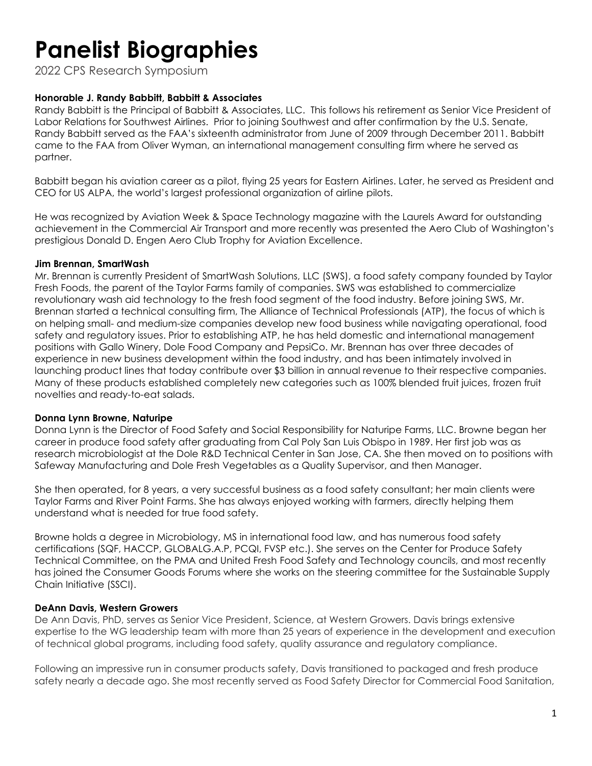2022 CPS Research Symposium

#### **Honorable J. Randy Babbitt, Babbitt & Associates**

Randy Babbitt is the Principal of Babbitt & Associates, LLC. This follows his retirement as Senior Vice President of Labor Relations for Southwest Airlines. Prior to joining Southwest and after confirmation by the U.S. Senate, Randy Babbitt served as the FAA's sixteenth administrator from June of 2009 through December 2011. Babbitt came to the FAA from Oliver Wyman, an international management consulting firm where he served as partner.

Babbitt began his aviation career as a pilot, flying 25 years for Eastern Airlines. Later, he served as President and CEO for US ALPA, the world's largest professional organization of airline pilots.

He was recognized by Aviation Week & Space Technology magazine with the Laurels Award for outstanding achievement in the Commercial Air Transport and more recently was presented the Aero Club of Washington's prestigious Donald D. Engen Aero Club Trophy for Aviation Excellence.

#### **Jim Brennan, SmartWash**

Mr. Brennan is currently President of SmartWash Solutions, LLC (SWS), a food safety company founded by Taylor Fresh Foods, the parent of the Taylor Farms family of companies. SWS was established to commercialize revolutionary wash aid technology to the fresh food segment of the food industry. Before joining SWS, Mr. Brennan started a technical consulting firm, The Alliance of Technical Professionals (ATP), the focus of which is on helping small- and medium-size companies develop new food business while navigating operational, food safety and regulatory issues. Prior to establishing ATP, he has held domestic and international management positions with Gallo Winery, Dole Food Company and PepsiCo. Mr. Brennan has over three decades of experience in new business development within the food industry, and has been intimately involved in launching product lines that today contribute over \$3 billion in annual revenue to their respective companies. Many of these products established completely new categories such as 100% blended fruit juices, frozen fruit novelties and ready-to-eat salads.

#### **Donna Lynn Browne, Naturipe**

Donna Lynn is the Director of Food Safety and Social Responsibility for Naturipe Farms, LLC. Browne began her career in produce food safety after graduating from Cal Poly San Luis Obispo in 1989. Her first job was as research microbiologist at the Dole R&D Technical Center in San Jose, CA. She then moved on to positions with Safeway Manufacturing and Dole Fresh Vegetables as a Quality Supervisor, and then Manager.

She then operated, for 8 years, a very successful business as a food safety consultant; her main clients were Taylor Farms and River Point Farms. She has always enjoyed working with farmers, directly helping them understand what is needed for true food safety.

Browne holds a degree in Microbiology, MS in international food law, and has numerous food safety certifications (SQF, HACCP, GLOBALG.A.P, PCQI, FVSP etc.). She serves on the Center for Produce Safety Technical Committee, on the PMA and United Fresh Food Safety and Technology councils, and most recently has joined the Consumer Goods Forums where she works on the steering committee for the Sustainable Supply Chain Initiative (SSCI).

### **DeAnn Davis, Western Growers**

De Ann Davis, PhD, serves as Senior Vice President, Science, at Western Growers. Davis brings extensive expertise to the WG leadership team with more than 25 years of experience in the development and execution of technical global programs, including food safety, quality assurance and regulatory compliance.

Following an impressive run in consumer products safety, Davis transitioned to packaged and fresh produce safety nearly a decade ago. She most recently served as Food Safety Director for Commercial Food Sanitation,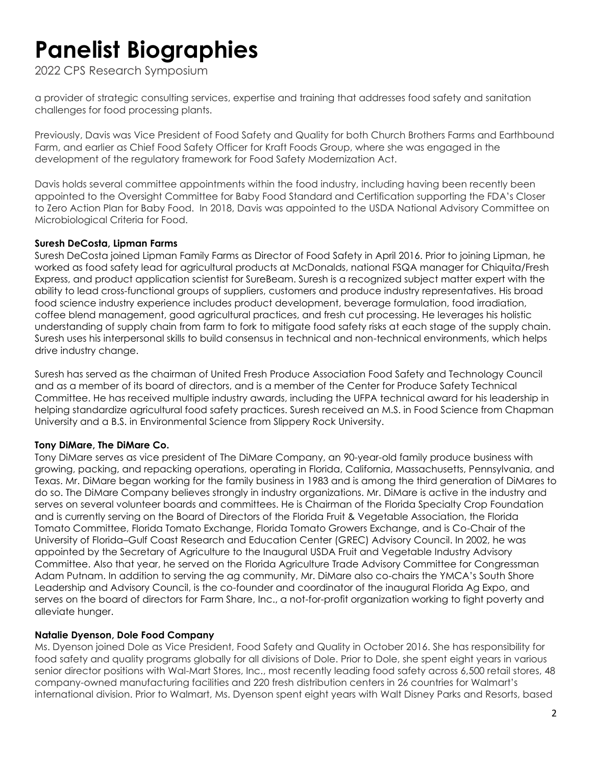2022 CPS Research Symposium

a provider of strategic consulting services, expertise and training that addresses food safety and sanitation challenges for food processing plants.

Previously, Davis was Vice President of Food Safety and Quality for both Church Brothers Farms and Earthbound Farm, and earlier as Chief Food Safety Officer for Kraft Foods Group, where she was engaged in the development of the regulatory framework for Food Safety Modernization Act.

Davis holds several committee appointments within the food industry, including having been recently been appointed to the Oversight Committee for Baby Food Standard and Certification supporting the FDA's Closer to Zero Action Plan for Baby Food. In 2018, Davis was appointed to the USDA National Advisory Committee on Microbiological Criteria for Food.

#### **Suresh DeCosta, Lipman Farms**

Suresh DeCosta joined Lipman Family Farms as Director of Food Safety in April 2016. Prior to joining Lipman, he worked as food safety lead for agricultural products at McDonalds, national FSQA manager for Chiquita/Fresh Express, and product application scientist for SureBeam. Suresh is a recognized subject matter expert with the ability to lead cross-functional groups of suppliers, customers and produce industry representatives. His broad food science industry experience includes product development, beverage formulation, food irradiation, coffee blend management, good agricultural practices, and fresh cut processing. He leverages his holistic understanding of supply chain from farm to fork to mitigate food safety risks at each stage of the supply chain. Suresh uses his interpersonal skills to build consensus in technical and non-technical environments, which helps drive industry change.

Suresh has served as the chairman of United Fresh Produce Association Food Safety and Technology Council and as a member of its board of directors, and is a member of the Center for Produce Safety Technical Committee. He has received multiple industry awards, including the UFPA technical award for his leadership in helping standardize agricultural food safety practices. Suresh received an M.S. in Food Science from Chapman University and a B.S. in Environmental Science from Slippery Rock University.

### **Tony DiMare, The DiMare Co.**

Tony DiMare serves as vice president of The DiMare Company, an 90-year-old family produce business with growing, packing, and repacking operations, operating in Florida, California, Massachusetts, Pennsylvania, and Texas. Mr. DiMare began working for the family business in 1983 and is among the third generation of DiMares to do so. The DiMare Company believes strongly in industry organizations. Mr. DiMare is active in the industry and serves on several volunteer boards and committees. He is Chairman of the Florida Specialty Crop Foundation and is currently serving on the Board of Directors of the Florida Fruit & Vegetable Association, the Florida Tomato Committee, Florida Tomato Exchange, Florida Tomato Growers Exchange, and is Co-Chair of the University of Florida–Gulf Coast Research and Education Center (GREC) Advisory Council. In 2002, he was appointed by the Secretary of Agriculture to the Inaugural USDA Fruit and Vegetable Industry Advisory Committee. Also that year, he served on the Florida Agriculture Trade Advisory Committee for Congressman Adam Putnam. In addition to serving the ag community, Mr. DiMare also co-chairs the YMCA's South Shore Leadership and Advisory Council, is the co-founder and coordinator of the inaugural Florida Ag Expo, and serves on the board of directors for Farm Share, Inc., a not-for-profit organization working to fight poverty and alleviate hunger.

### **Natalie Dyenson, Dole Food Company**

Ms. Dyenson joined Dole as Vice President, Food Safety and Quality in October 2016. She has responsibility for food safety and quality programs globally for all divisions of Dole. Prior to Dole, she spent eight years in various senior director positions with Wal-Mart Stores, Inc., most recently leading food safety across 6,500 retail stores, 48 company-owned manufacturing facilities and 220 fresh distribution centers in 26 countries for Walmart's international division. Prior to Walmart, Ms. Dyenson spent eight years with Walt Disney Parks and Resorts, based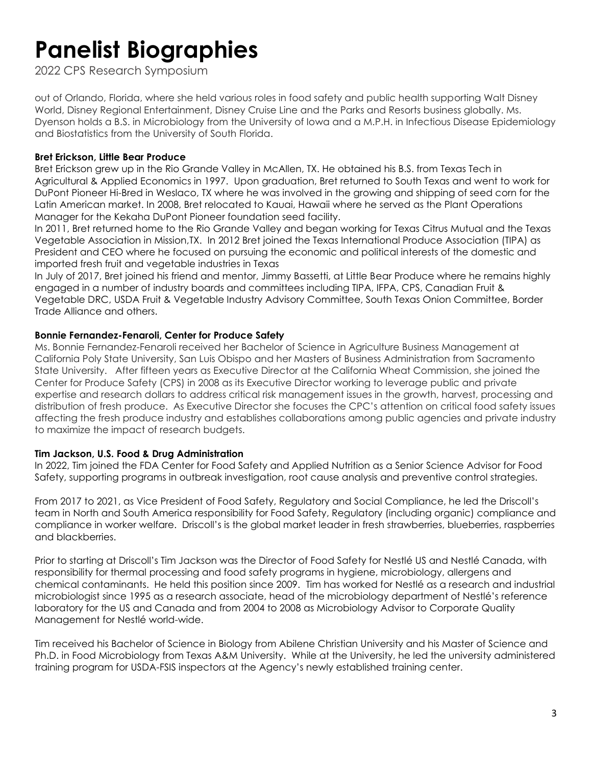2022 CPS Research Symposium

out of Orlando, Florida, where she held various roles in food safety and public health supporting Walt Disney World, Disney Regional Entertainment, Disney Cruise Line and the Parks and Resorts business globally. Ms. Dyenson holds a B.S. in Microbiology from the University of Iowa and a M.P.H. in Infectious Disease Epidemiology and Biostatistics from the University of South Florida.

### **Bret Erickson, Little Bear Produce**

Bret Erickson grew up in the Rio Grande Valley in McAllen, TX. He obtained his B.S. from Texas Tech in Agricultural & Applied Economics in 1997. Upon graduation, Bret returned to South Texas and went to work for DuPont Pioneer Hi-Bred in Weslaco, TX where he was involved in the growing and shipping of seed corn for the Latin American market. In 2008, Bret relocated to Kauai, Hawaii where he served as the Plant Operations Manager for the Kekaha DuPont Pioneer foundation seed facility.

In 2011, Bret returned home to the Rio Grande Valley and began working for Texas Citrus Mutual and the Texas Vegetable Association in Mission,TX. In 2012 Bret joined the Texas International Produce Association (TIPA) as President and CEO where he focused on pursuing the economic and political interests of the domestic and imported fresh fruit and vegetable industries in Texas

In July of 2017, Bret joined his friend and mentor, Jimmy Bassetti, at Little Bear Produce where he remains highly engaged in a number of industry boards and committees including TIPA, IFPA, CPS, Canadian Fruit & Vegetable DRC, USDA Fruit & Vegetable Industry Advisory Committee, South Texas Onion Committee, Border Trade Alliance and others.

### **Bonnie Fernandez-Fenaroli, Center for Produce Safety**

Ms. Bonnie Fernandez-Fenaroli received her Bachelor of Science in Agriculture Business Management at California Poly State University, San Luis Obispo and her Masters of Business Administration from Sacramento State University. After fifteen years as Executive Director at the California Wheat Commission, she joined the Center for Produce Safety (CPS) in 2008 as its Executive Director working to leverage public and private expertise and research dollars to address critical risk management issues in the growth, harvest, processing and distribution of fresh produce. As Executive Director she focuses the CPC's attention on critical food safety issues affecting the fresh produce industry and establishes collaborations among public agencies and private industry to maximize the impact of research budgets.

## **Tim Jackson, U.S. Food & Drug Administration**

In 2022, Tim joined the FDA Center for Food Safety and Applied Nutrition as a Senior Science Advisor for Food Safety, supporting programs in outbreak investigation, root cause analysis and preventive control strategies.

From 2017 to 2021, as Vice President of Food Safety, Regulatory and Social Compliance, he led the Driscoll's team in North and South America responsibility for Food Safety, Regulatory (including organic) compliance and compliance in worker welfare. Driscoll's is the global market leader in fresh strawberries, blueberries, raspberries and blackberries.

Prior to starting at Driscoll's Tim Jackson was the Director of Food Safety for Nestlé US and Nestlé Canada, with responsibility for thermal processing and food safety programs in hygiene, microbiology, allergens and chemical contaminants. He held this position since 2009. Tim has worked for Nestlé as a research and industrial microbiologist since 1995 as a research associate, head of the microbiology department of Nestlé's reference laboratory for the US and Canada and from 2004 to 2008 as Microbiology Advisor to Corporate Quality Management for Nestlé world-wide.

Tim received his Bachelor of Science in Biology from Abilene Christian University and his Master of Science and Ph.D. in Food Microbiology from Texas A&M University. While at the University, he led the university administered training program for USDA-FSIS inspectors at the Agency's newly established training center.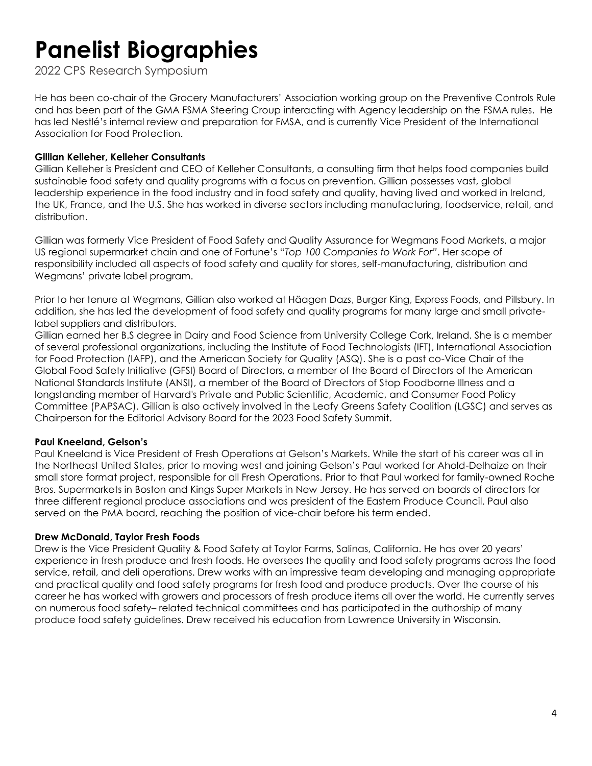2022 CPS Research Symposium

He has been co-chair of the Grocery Manufacturers' Association working group on the Preventive Controls Rule and has been part of the GMA FSMA Steering Croup interacting with Agency leadership on the FSMA rules. He has led Nestlé's internal review and preparation for FMSA, and is currently Vice President of the International Association for Food Protection.

#### **Gillian Kelleher, Kelleher Consultants**

Gillian Kelleher is President and CEO of Kelleher Consultants, a consulting firm that helps food companies build sustainable food safety and quality programs with a focus on prevention. Gillian possesses vast, global leadership experience in the food industry and in food safety and quality, having lived and worked in Ireland, the UK, France, and the U.S. She has worked in diverse sectors including manufacturing, foodservice, retail, and distribution.

Gillian was formerly Vice President of Food Safety and Quality Assurance for Wegmans Food Markets, a major US regional supermarket chain and one of Fortune's "*Top 100 Companies to Work For"*. Her scope of responsibility included all aspects of food safety and quality for stores, self-manufacturing, distribution and Wegmans' private label program.

Prior to her tenure at Wegmans, Gillian also worked at Häagen Dazs, Burger King, Express Foods, and Pillsbury. In addition, she has led the development of food safety and quality programs for many large and small privatelabel suppliers and distributors.

Gillian earned her B.S degree in Dairy and Food Science from University College Cork, Ireland. She is a member of several professional organizations, including the Institute of Food Technologists (IFT), International Association for Food Protection (IAFP), and the American Society for Quality (ASQ). She is a past co-Vice Chair of the Global Food Safety Initiative (GFSI) Board of Directors, a member of the Board of Directors of the American National Standards Institute (ANSI), a member of the Board of Directors of Stop Foodborne Illness and a longstanding member of Harvard's Private and Public Scientific, Academic, and Consumer Food Policy Committee (PAPSAC). Gillian is also actively involved in the Leafy Greens Safety Coalition (LGSC) and serves as Chairperson for the Editorial Advisory Board for the 2023 Food Safety Summit.

### **Paul Kneeland, Gelson's**

Paul Kneeland is Vice President of Fresh Operations at Gelson's Markets. While the start of his career was all in the Northeast United States, prior to moving west and joining Gelson's Paul worked for Ahold-Delhaize on their small store format project, responsible for all Fresh Operations. Prior to that Paul worked for family-owned Roche Bros. Supermarkets in Boston and Kings Super Markets in New Jersey. He has served on boards of directors for three different regional produce associations and was president of the Eastern Produce Council. Paul also served on the PMA board, reaching the position of vice-chair before his term ended.

#### **Drew McDonald, Taylor Fresh Foods**

Drew is the Vice President Quality & Food Safety at Taylor Farms, Salinas, California. He has over 20 years' experience in fresh produce and fresh foods. He oversees the quality and food safety programs across the food service, retail, and deli operations. Drew works with an impressive team developing and managing appropriate and practical quality and food safety programs for fresh food and produce products. Over the course of his career he has worked with growers and processors of fresh produce items all over the world. He currently serves on numerous food safety– related technical committees and has participated in the authorship of many produce food safety guidelines. Drew received his education from Lawrence University in Wisconsin.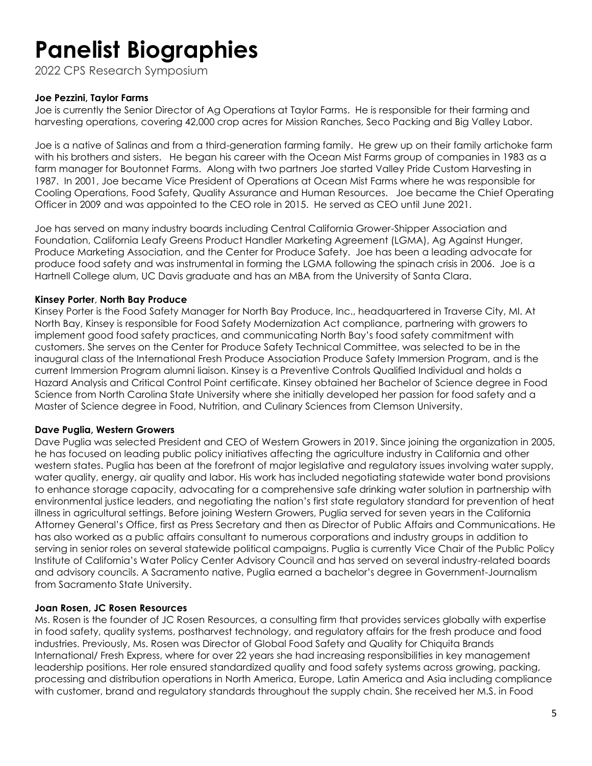2022 CPS Research Symposium

#### **Joe Pezzini, Taylor Farms**

Joe is currently the Senior Director of Ag Operations at Taylor Farms. He is responsible for their farming and harvesting operations, covering 42,000 crop acres for Mission Ranches, Seco Packing and Big Valley Labor.

Joe is a native of Salinas and from a third-generation farming family. He grew up on their family artichoke farm with his brothers and sisters. He began his career with the Ocean Mist Farms group of companies in 1983 as a farm manager for Boutonnet Farms. Along with two partners Joe started Valley Pride Custom Harvesting in 1987. In 2001, Joe became Vice President of Operations at Ocean Mist Farms where he was responsible for Cooling Operations, Food Safety, Quality Assurance and Human Resources. Joe became the Chief Operating Officer in 2009 and was appointed to the CEO role in 2015. He served as CEO until June 2021.

Joe has served on many industry boards including Central California Grower-Shipper Association and Foundation, California Leafy Greens Product Handler Marketing Agreement (LGMA), Ag Against Hunger, Produce Marketing Association, and the Center for Produce Safety. Joe has been a leading advocate for produce food safety and was instrumental in forming the LGMA following the spinach crisis in 2006. Joe is a Hartnell College alum, UC Davis graduate and has an MBA from the University of Santa Clara.

#### **Kinsey Porter**, **North Bay Produce**

Kinsey Porter is the Food Safety Manager for North Bay Produce, Inc., headquartered in Traverse City, MI. At North Bay, Kinsey is responsible for Food Safety Modernization Act compliance, partnering with growers to implement good food safety practices, and communicating North Bay's food safety commitment with customers. She serves on the Center for Produce Safety Technical Committee, was selected to be in the inaugural class of the International Fresh Produce Association Produce Safety Immersion Program, and is the current Immersion Program alumni liaison. Kinsey is a Preventive Controls Qualified Individual and holds a Hazard Analysis and Critical Control Point certificate. Kinsey obtained her Bachelor of Science degree in Food Science from North Carolina State University where she initially developed her passion for food safety and a Master of Science degree in Food, Nutrition, and Culinary Sciences from Clemson University.

#### **Dave Puglia, Western Growers**

Dave Puglia was selected President and CEO of Western Growers in 2019. Since joining the organization in 2005, he has focused on leading public policy initiatives affecting the agriculture industry in California and other western states. Puglia has been at the forefront of major legislative and regulatory issues involving water supply, water quality, energy, air quality and labor. His work has included negotiating statewide water bond provisions to enhance storage capacity, advocating for a comprehensive safe drinking water solution in partnership with environmental justice leaders, and negotiating the nation's first state regulatory standard for prevention of heat illness in agricultural settings. Before joining Western Growers, Puglia served for seven years in the California Attorney General's Office, first as Press Secretary and then as Director of Public Affairs and Communications. He has also worked as a public affairs consultant to numerous corporations and industry groups in addition to serving in senior roles on several statewide political campaigns. Puglia is currently Vice Chair of the Public Policy Institute of California's Water Policy Center Advisory Council and has served on several industry-related boards and advisory councils. A Sacramento native, Puglia earned a bachelor's degree in Government-Journalism from Sacramento State University.

#### **Joan Rosen, JC Rosen Resources**

Ms. Rosen is the founder of JC Rosen Resources, a consulting firm that provides services globally with expertise in food safety, quality systems, postharvest technology, and regulatory affairs for the fresh produce and food industries. Previously, Ms. Rosen was Director of Global Food Safety and Quality for Chiquita Brands International/ Fresh Express, where for over 22 years she had increasing responsibilities in key management leadership positions. Her role ensured standardized quality and food safety systems across growing, packing, processing and distribution operations in North America, Europe, Latin America and Asia including compliance with customer, brand and regulatory standards throughout the supply chain. She received her M.S. in Food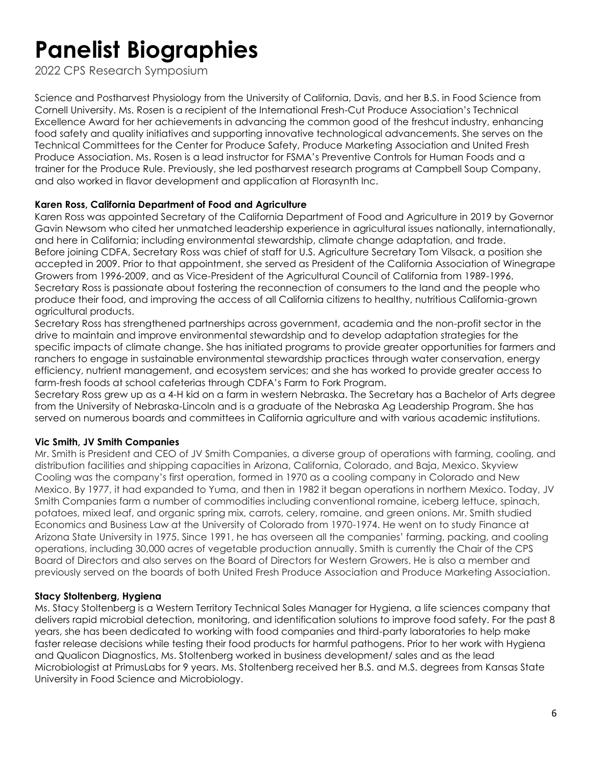2022 CPS Research Symposium

Science and Postharvest Physiology from the University of California, Davis, and her B.S. in Food Science from Cornell University. Ms. Rosen is a recipient of the International Fresh-Cut Produce Association's Technical Excellence Award for her achievements in advancing the common good of the freshcut industry, enhancing food safety and quality initiatives and supporting innovative technological advancements. She serves on the Technical Committees for the Center for Produce Safety, Produce Marketing Association and United Fresh Produce Association. Ms. Rosen is a lead instructor for FSMA's Preventive Controls for Human Foods and a trainer for the Produce Rule. Previously, she led postharvest research programs at Campbell Soup Company, and also worked in flavor development and application at Florasynth Inc.

### **Karen Ross, California Department of Food and Agriculture**

Karen Ross was appointed Secretary of the California Department of Food and Agriculture in 2019 by Governor Gavin Newsom who cited her unmatched leadership experience in agricultural issues nationally, internationally, and here in California; including environmental stewardship, climate change adaptation, and trade. Before joining CDFA, Secretary Ross was chief of staff for U.S. Agriculture Secretary Tom Vilsack, a position she accepted in 2009. Prior to that appointment, she served as President of the California Association of Winegrape Growers from 1996-2009, and as Vice-President of the Agricultural Council of California from 1989-1996. Secretary Ross is passionate about fostering the reconnection of consumers to the land and the people who produce their food, and improving the access of all California citizens to healthy, nutritious California-grown agricultural products.

Secretary Ross has strengthened partnerships across government, academia and the non-profit sector in the drive to maintain and improve environmental stewardship and to develop adaptation strategies for the specific impacts of climate change. She has initiated programs to provide greater opportunities for farmers and ranchers to engage in sustainable environmental stewardship practices through water conservation, energy efficiency, nutrient management, and ecosystem services; and she has worked to provide greater access to farm-fresh foods at school cafeterias through CDFA's Farm to Fork Program.

Secretary Ross grew up as a 4-H kid on a farm in western Nebraska. The Secretary has a Bachelor of Arts degree from the University of Nebraska-Lincoln and is a graduate of the Nebraska Ag Leadership Program. She has served on numerous boards and committees in California agriculture and with various academic institutions.

### **Vic Smith, JV Smith Companies**

Mr. Smith is President and CEO of JV Smith Companies, a diverse group of operations with farming, cooling, and distribution facilities and shipping capacities in Arizona, California, Colorado, and Baja, Mexico. Skyview Cooling was the company's first operation, formed in 1970 as a cooling company in Colorado and New Mexico. By 1977, it had expanded to Yuma, and then in 1982 it began operations in northern Mexico. Today, JV Smith Companies farm a number of commodities including conventional romaine, iceberg lettuce, spinach, potatoes, mixed leaf, and organic spring mix, carrots, celery, romaine, and green onions. Mr. Smith studied Economics and Business Law at the University of Colorado from 1970-1974. He went on to study Finance at Arizona State University in 1975. Since 1991, he has overseen all the companies' farming, packing, and cooling operations, including 30,000 acres of vegetable production annually. Smith is currently the Chair of the CPS Board of Directors and also serves on the Board of Directors for Western Growers. He is also a member and previously served on the boards of both United Fresh Produce Association and Produce Marketing Association.

### **Stacy Stoltenberg, Hygiena**

Ms. Stacy Stoltenberg is a Western Territory Technical Sales Manager for Hygiena, a life sciences company that delivers rapid microbial detection, monitoring, and identification solutions to improve food safety. For the past 8 years, she has been dedicated to working with food companies and third-party laboratories to help make faster release decisions while testing their food products for harmful pathogens. Prior to her work with Hygiena and Qualicon Diagnostics, Ms. Stoltenberg worked in business development/ sales and as the lead Microbiologist at PrimusLabs for 9 years. Ms. Stoltenberg received her B.S. and M.S. degrees from Kansas State University in Food Science and Microbiology.